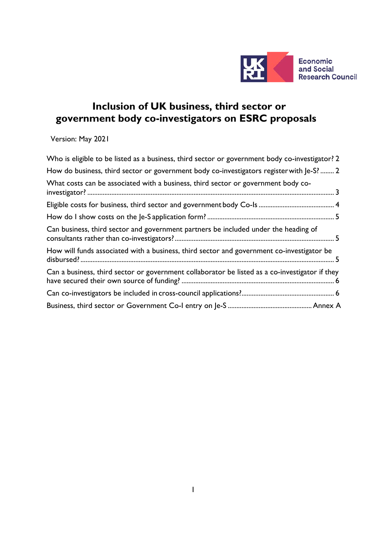

# **Inclusion of UK business, third sector or government body co-investigators on ESRC proposals**

Version: May 2021

| Who is eligible to be listed as a business, third sector or government body co-investigator? 2 |
|------------------------------------------------------------------------------------------------|
| How do business, third sector or government body co-investigators register with Je-S?  2       |
| What costs can be associated with a business, third sector or government body co-              |
|                                                                                                |
|                                                                                                |
| Can business, third sector and government partners be included under the heading of            |
| How will funds associated with a business, third sector and government co-investigator be      |
| Can a business, third sector or government collaborator be listed as a co-investigator if they |
|                                                                                                |
|                                                                                                |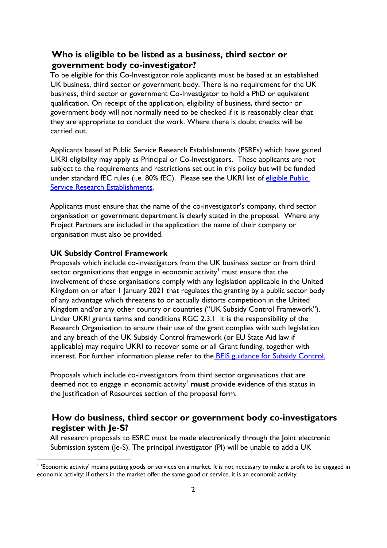### <span id="page-1-0"></span>**Who is eligible to be listed as a business, third sector or government body co-investigator?**

To be eligible for this Co-Investigator role applicants must be based at an established UK business, third sector or government body. There is no requirement for the UK business, third sector or government Co-Investigator to hold a PhD or equivalent qualification. On receipt of the application, eligibility of business, third sector or government body will not normally need to be checked if it is reasonably clear that they are appropriate to conduct the work. Where there is doubt checks will be carried out.

Applicants based at Public Service Research Establishments (PSREs) which have gained UKRI eligibility may apply as Principal or Co-Investigators. These applicants are not subject to the requirements and restrictions set out in this policy but will be funded under standard fEC rules (i.e. 80% fEC). Please see the UKRI list of eligible Public [Service Research Establishments.](https://www.ukri.org/apply-for-funding/before-you-apply/check-if-you-are-eligible-for-research-and-innovation-funding/eligible-public-sector-research-establishments/#contents-list)

Applicants must ensure that the name of the co-investigator's company, third sector organisation or government department is clearly stated in the proposal. Where any Project Partners are included in the application the name of their company or organisation must also be provided.

#### **UK Subsidy Control Framework**

Proposals which include co-investigators from the UK business sector or from third sector organisations that engage in economic activity<sup>[1](#page-1-2)</sup> must ensure that the involvement of these organisations comply with any legislation applicable in the United Kingdom on or after 1 January 2021 that regulates the granting by a public sector body of any advantage which threatens to or actually distorts competition in the United Kingdom and/or any other country or countries ("UK Subsidy Control Framework"). Under UKRI grants terms and conditions RGC 2.3.1 it is the responsibility of the Research Organisation to ensure their use of the grant complies with such legislation and any breach of the UK Subsidy Control framework (or EU State Aid law if applicable) may require UKRI to recover some or all Grant funding, together with int[e](https://www.gov.uk/government/publications/complying-with-the-uks-international-obligations-on-subsidy-control-guidance-for-public-authorities)rest. For further information please refer to the **BEIS** guidance for Subsidy Control.

Proposals which include co-investigators from third sector organisations that are deemed not to engage in economic activity<sup>1</sup> must provide evidence of this status in the Justification of Resources section of the proposal form.

#### <span id="page-1-1"></span>**How do business, third sector or government body co-investigators register with Je-S?**

All research proposals to ESRC must be made electronically through the Joint electronic Submission system (Je-S). The principal investigator (PI) will be unable to add a UK

<span id="page-1-2"></span><sup>&</sup>lt;sup>1</sup> 'Economic activity' means putting goods or services on a market. It is not necessary to make a profit to be engaged in economic activity: if others in the market offer the same good or service, it is an economic activity.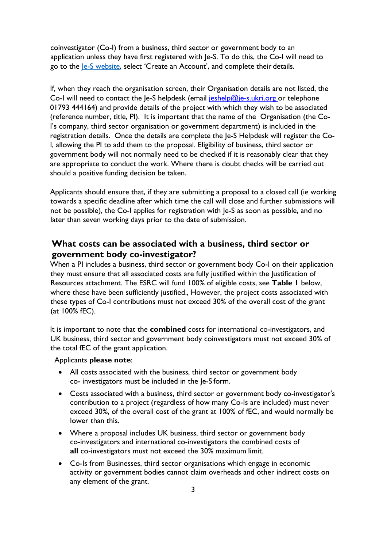coinvestigator (Co-I) from a business, third sector or government body to an application unless they have first registered with Je-S. To do this, the Co-I will need to go to the <u>Je-S website</u>, select 'Create an Account', and complete their details.

If, when they reach the organisation screen, their Organisation details are not listed, the Co-I will need to contact the Je-S helpdesk (email  $i$ eshelp@je-s.ukri.org or telephone 01793 444164) and provide details of the project with which they wish to be associated (reference number, title, PI). It is important that the name of the Organisation (the Co-I's company, third sector organisation or government department) is included in the registration details. Once the details are complete the Je-S Helpdesk will register the Co-I, allowing the PI to add them to the proposal. Eligibility of business, third sector or government body will not normally need to be checked if it is reasonably clear that they are appropriate to conduct the work. Where there is doubt checks will be carried out should a positive funding decision be taken.

Applicants should ensure that, if they are submitting a proposal to a closed call (ie working towards a specific deadline after which time the call will close and further submissions will not be possible), the Co-I applies for registration with Je-S as soon as possible, and no later than seven working days prior to the date of submission.

## <span id="page-2-0"></span>**What costs can be associated with a business, third sector or government body co-investigator?**

When a PI includes a business, third sector or government body Co-I on their application they must ensure that all associated costs are fully justified within the Justification of Resources attachment. The ESRC will fund 100% of eligible costs, see **Table 1** below, where these have been sufficiently justified., However, the project costs associated with these types of Co-I contributions must not exceed 30% of the overall cost of the grant (at 100% fEC).

It is important to note that the **combined** costs for international co-investigators, and UK business, third sector and government body coinvestigators must not exceed 30% of the total fEC of the grant application.

Applicants **please note**:

- All costs associated with the business, third sector or government body co- investigators must be included in the Je-S form.
- Costs associated with a business, third sector or government body co-investigator's contribution to a project (regardless of how many Co-Is are included) must never exceed 30%, of the overall cost of the grant at 100% of fEC, and would normally be lower than this.
- Where a proposal includes UK business, third sector or government body co-investigators and international co-investigators the combined costs of **all** co-investigators must not exceed the 30% maximum limit.
- Co-Is from Businesses, third sector organisations which engage in economic activity or government bodies cannot claim overheads and other indirect costs on any element of the grant.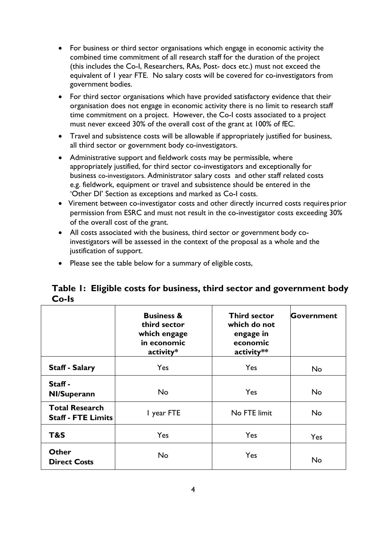- For business or third sector organisations which engage in economic activity the combined time commitment of all research staff for the duration of the project (this includes the Co-I, Researchers, RAs, Post- docs etc.) must not exceed the equivalent of 1 year FTE. No salary costs will be covered for co-investigators from government bodies.
- For third sector organisations which have provided satisfactory evidence that their organisation does not engage in economic activity there is no limit to research staff time commitment on a project. However, the Co-I costs associated to a project must never exceed 30% of the overall cost of the grant at 100% of fEC.
- Travel and subsistence costs will be allowable if appropriately justified for business, all third sector or government body co-investigators.
- Administrative support and fieldwork costs may be permissible, where appropriately justified, for third sector co-investigators and exceptionally for business co-investigators. Administrator salary costs and other staff related costs e.g. fieldwork, equipment or travel and subsistence should be entered in the 'Other DI' Section as exceptions and marked as Co-I costs.
- Virement between co-investigator costs and other directly incurred costs requires prior permission from ESRC and must not result in the co-investigator costs exceeding 30% of the overall cost of the grant.
- All costs associated with the business, third sector or government body coinvestigators will be assessed in the context of the proposal as a whole and the justification of support.
- Please see the table below for a summary of eligible costs,

## <span id="page-3-0"></span>**Table 1: Eligible costs for business, third sector and government body Co-Is**

|                                                    | <b>Business &amp;</b><br>third sector<br>which engage<br>in economic<br>activity* | <b>Third sector</b><br>which do not<br>engage in<br>economic<br>activity** | Government |
|----------------------------------------------------|-----------------------------------------------------------------------------------|----------------------------------------------------------------------------|------------|
| <b>Staff - Salary</b>                              | Yes                                                                               | Yes                                                                        | No         |
| Staff-<br><b>NI/Superann</b>                       | <b>No</b>                                                                         | Yes                                                                        | No         |
| <b>Total Research</b><br><b>Staff - FTE Limits</b> | I year FTE                                                                        | No FTE limit                                                               | No.        |
| T&S                                                | Yes<br>Yes                                                                        |                                                                            | Yes        |
| <b>Other</b><br><b>Direct Costs</b>                | <b>No</b>                                                                         | Yes                                                                        | No         |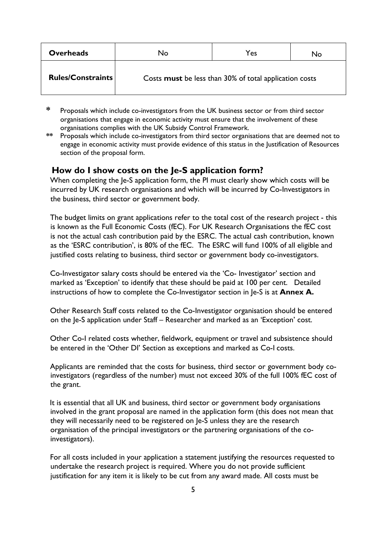| <b>Overheads</b>         | No                                                     | Yes | No |
|--------------------------|--------------------------------------------------------|-----|----|
| <b>Rules/Constraints</b> | Costs must be less than 30% of total application costs |     |    |

- **\*** Proposals which include co-investigators from the UK business sector or from third sector organisations that engage in economic activity must ensure that the involvement of these organisations complies with the UK Subsidy Control Framework.
- **\*\*** Proposals which include co-investigators from third sector organisations that are deemed not to engage in economic activity must provide evidence of this status in the Justification of Resources section of the proposal form.

#### <span id="page-4-0"></span>**How do I show costs on the Je-S application form?**

When completing the Je-S application form, the PI must clearly show which costs will be incurred by UK research organisations and which will be incurred by Co-Investigators in the business, third sector or government body.

The budget limits on grant applications refer to the total cost of the research project - this is known as the Full Economic Costs (fEC). For UK Research Organisations the fEC cost is not the actual cash contribution paid by the ESRC. The actual cash contribution, known as the 'ESRC contribution', is 80% of the fEC. The ESRC will fund 100% of all eligible and justified costs relating to business, third sector or government body co-investigators.

Co-Investigator salary costs should be entered via the 'Co- Investigator' section and marked as 'Exception' to identify that these should be paid at 100 per cent. Detailed instructions of how to complete the Co-Investigator section in Je-S is at **Annex A.**

Other Research Staff costs related to the Co-Investigator organisation should be entered on the Je-S application under Staff – Researcher and marked as an 'Exception' cost.

Other Co-I related costs whether, fieldwork, equipment or travel and subsistence should be entered in the 'Other DI' Section as exceptions and marked as Co-I costs.

Applicants are reminded that the costs for business, third sector or government body coinvestigators (regardless of the number) must not exceed 30% of the full 100% fEC cost of the grant.

It is essential that all UK and business, third sector or government body organisations involved in the grant proposal are named in the application form (this does not mean that they will necessarily need to be registered on Je-S unless they are the research organisation of the principal investigators or the partnering organisations of the coinvestigators).

For all costs included in your application a statement justifying the resources requested to undertake the research project is required. Where you do not provide sufficient justification for any item it is likely to be cut from any award made. All costs must be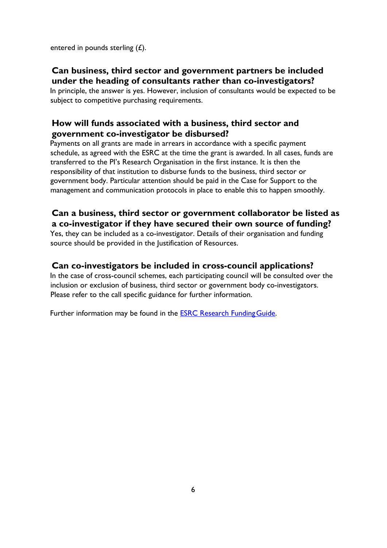<span id="page-5-0"></span>entered in pounds sterling (£).

## **Can business, third sector and government partners be included under the heading of consultants rather than co-investigators?**

In principle, the answer is yes. However, inclusion of consultants would be expected to be subject to competitive purchasing requirements.

## <span id="page-5-1"></span>**How will funds associated with a business, third sector and government co-investigator be disbursed?**

Payments on all grants are made in arrears in accordance with a specific payment schedule, as agreed with the ESRC at the time the grant is awarded. In all cases, funds are transferred to the PI's Research Organisation in the first instance. It is then the responsibility of that institution to disburse funds to the business, third sector or government body. Particular attention should be paid in the Case for Support to the management and communication protocols in place to enable this to happen smoothly.

## <span id="page-5-2"></span>**Can a business, third sector or government collaborator be listed as a co-investigator if they have secured their own source of funding?**

Yes, they can be included as a co-investigator. Details of their organisation and funding source should be provided in the Justification of Resources.

## <span id="page-5-3"></span>**Can co-investigators be included in cross-council applications?**

In the case of cross-council schemes, each participating council will be consulted over the inclusion or exclusion of business, third sector or government body co-investigators. Please refer to the call specific guidance for further information.

Further information may be found in the **ESRC Research Funding Guide**.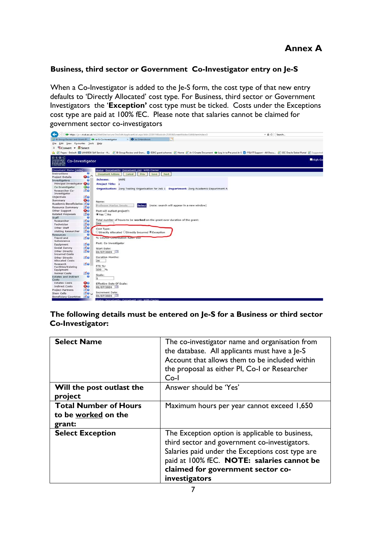#### **Business, third sector or Government Co-Investigator entry on Je-S**

When a Co-Investigator is added to the Je-S form, the cost type of that new entry defaults to 'Directly Allocated' cost type. For Business, third sector or Government Investigators the '**Exception'** cost type must be ticked. Costs under the Exceptions cost type are paid at 100% fEC. Please note that salaries cannot be claimed for government sector co-investigators



**The following details must be entered on Je-S for a Business or third sector Co-Investigator:**

| <b>Select Name</b>                                            | The co-investigator name and organisation from<br>the database. All applicants must have a Je-S<br>Account that allows them to be included within<br>the proposal as either PI, Co-I or Researcher<br>$Co-I$                                             |
|---------------------------------------------------------------|----------------------------------------------------------------------------------------------------------------------------------------------------------------------------------------------------------------------------------------------------------|
| Will the post outlast the<br>project                          | Answer should be 'Yes'                                                                                                                                                                                                                                   |
| <b>Total Number of Hours</b><br>to be worked on the<br>grant: | Maximum hours per year cannot exceed 1,650                                                                                                                                                                                                               |
| <b>Select Exception</b>                                       | The Exception option is applicable to business,<br>third sector and government co-investigators.<br>Salaries paid under the Exceptions cost type are<br>paid at 100% fEC. NOTE: salaries cannot be<br>claimed for government sector co-<br>investigators |